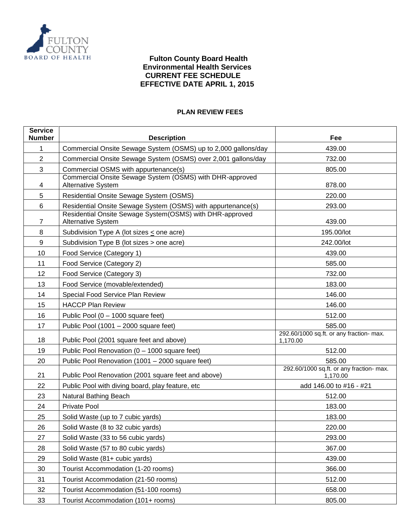

### **PLAN REVIEW FEES**

| <b>Service</b><br><b>Number</b> | <b>Description</b>                                                                    | Fee                                                  |
|---------------------------------|---------------------------------------------------------------------------------------|------------------------------------------------------|
| 1                               | Commercial Onsite Sewage System (OSMS) up to 2,000 gallons/day                        | 439.00                                               |
| $\overline{2}$                  | Commercial Onsite Sewage System (OSMS) over 2,001 gallons/day                         | 732.00                                               |
| 3                               | Commercial OSMS with appurtenance(s)                                                  | 805.00                                               |
| 4                               | Commercial Onsite Sewage System (OSMS) with DHR-approved<br><b>Alternative System</b> | 878.00                                               |
| 5                               | Residential Onsite Sewage System (OSMS)                                               | 220.00                                               |
| 6                               | Residential Onsite Sewage System (OSMS) with appurtenance(s)                          | 293.00                                               |
| $\overline{7}$                  | Residential Onsite Sewage System(OSMS) with DHR-approved<br><b>Alternative System</b> | 439.00                                               |
| 8                               | Subdivision Type A (lot sizes $\leq$ one acre)                                        | 195.00/lot                                           |
| 9                               | Subdivision Type B (lot sizes > one acre)                                             | 242.00/lot                                           |
| 10                              | Food Service (Category 1)                                                             | 439.00                                               |
| 11                              | Food Service (Category 2)                                                             | 585.00                                               |
| 12                              | Food Service (Category 3)                                                             | 732.00                                               |
| 13                              | Food Service (movable/extended)                                                       | 183.00                                               |
| 14                              | Special Food Service Plan Review                                                      | 146.00                                               |
| 15                              | <b>HACCP Plan Review</b>                                                              | 146.00                                               |
| 16                              | Public Pool (0 - 1000 square feet)                                                    | 512.00                                               |
| 17                              | Public Pool (1001 - 2000 square feet)                                                 | 585.00                                               |
| 18                              | Public Pool (2001 square feet and above)                                              | 292.60/1000 sq.ft. or any fraction- max.<br>1,170.00 |
| 19                              | Public Pool Renovation (0 - 1000 square feet)                                         | 512.00                                               |
| 20                              | Public Pool Renovation (1001 – 2000 square feet)                                      | 585.00                                               |
| 21                              | Public Pool Renovation (2001 square feet and above)                                   | 292.60/1000 sq.ft. or any fraction- max.<br>1,170.00 |
| 22                              | Public Pool with diving board, play feature, etc                                      | add 146.00 to #16 - #21                              |
| 23                              | Natural Bathing Beach                                                                 | 512.00                                               |
| 24                              | Private Pool                                                                          | 183.00                                               |
| 25                              | Solid Waste (up to 7 cubic yards)                                                     | 183.00                                               |
| 26                              | Solid Waste (8 to 32 cubic yards)                                                     | 220.00                                               |
| 27                              | Solid Waste (33 to 56 cubic yards)                                                    | 293.00                                               |
| 28                              | Solid Waste (57 to 80 cubic yards)                                                    | 367.00                                               |
| 29                              | Solid Waste (81+ cubic yards)                                                         | 439.00                                               |
| 30                              | Tourist Accommodation (1-20 rooms)                                                    | 366.00                                               |
| 31                              | Tourist Accommodation (21-50 rooms)                                                   | 512.00                                               |
| 32                              | Tourist Accommodation (51-100 rooms)                                                  | 658.00                                               |
| 33                              | Tourist Accommodation (101+ rooms)                                                    | 805.00                                               |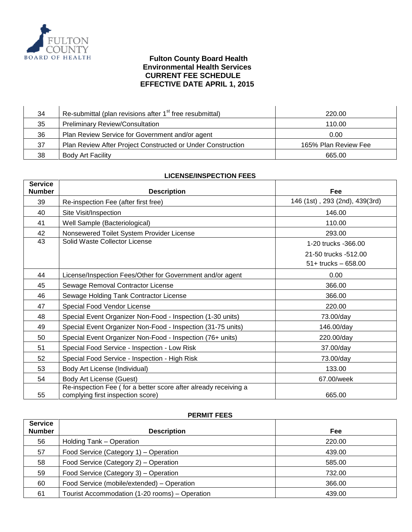

| 34 | Re-submittal (plan revisions after 1 <sup>st</sup> free resubmittal) | 220.00               |
|----|----------------------------------------------------------------------|----------------------|
| 35 | <b>Preliminary Review/Consultation</b>                               | 110.00               |
| 36 | Plan Review Service for Government and/or agent                      | 0.00                 |
| 37 | Plan Review After Project Constructed or Under Construction          | 165% Plan Review Fee |
| 38 | <b>Body Art Facility</b>                                             | 665.00               |

#### **LICENSE/INSPECTION FEES**

| <b>Service</b><br><b>Number</b> | <b>Description</b>                                                                                   | Fee                            |
|---------------------------------|------------------------------------------------------------------------------------------------------|--------------------------------|
| 39                              | Re-inspection Fee (after first free)                                                                 | 146 (1st), 293 (2nd), 439(3rd) |
| 40                              | Site Visit/Inspection                                                                                | 146.00                         |
| 41                              | Well Sample (Bacteriological)                                                                        | 110.00                         |
| 42                              | Nonsewered Toilet System Provider License                                                            | 293.00                         |
| 43                              | Solid Waste Collector License                                                                        | 1-20 trucks -366.00            |
|                                 |                                                                                                      | 21-50 trucks -512.00           |
|                                 |                                                                                                      | $51+$ trucks $-658.00$         |
| 44                              | License/Inspection Fees/Other for Government and/or agent                                            | 0.00                           |
| 45                              | Sewage Removal Contractor License                                                                    | 366.00                         |
| 46                              | Sewage Holding Tank Contractor License                                                               | 366.00                         |
| 47                              | Special Food Vendor License                                                                          | 220.00                         |
| 48                              | Special Event Organizer Non-Food - Inspection (1-30 units)                                           | 73.00/day                      |
| 49                              | Special Event Organizer Non-Food - Inspection (31-75 units)                                          | 146.00/day                     |
| 50                              | Special Event Organizer Non-Food - Inspection (76+ units)                                            | 220.00/day                     |
| 51                              | Special Food Service - Inspection - Low Risk                                                         | 37.00/day                      |
| 52                              | Special Food Service - Inspection - High Risk                                                        | 73.00/day                      |
| 53                              | Body Art License (Individual)                                                                        | 133.00                         |
| 54                              | <b>Body Art License (Guest)</b>                                                                      | 67.00/week                     |
| 55                              | Re-inspection Fee (for a better score after already receiving a<br>complying first inspection score) | 665.00                         |

### **PERMIT FEES**

| <b>Service</b><br><b>Number</b> | <b>Description</b>                             | Fee    |
|---------------------------------|------------------------------------------------|--------|
| 56                              | Holding Tank - Operation                       | 220.00 |
| 57                              | Food Service (Category 1) - Operation          | 439.00 |
| 58                              | Food Service (Category 2) – Operation          | 585.00 |
| 59                              | Food Service (Category 3) – Operation          | 732.00 |
| 60                              | Food Service (mobile/extended) - Operation     | 366.00 |
| 61                              | Tourist Accommodation (1-20 rooms) – Operation | 439.00 |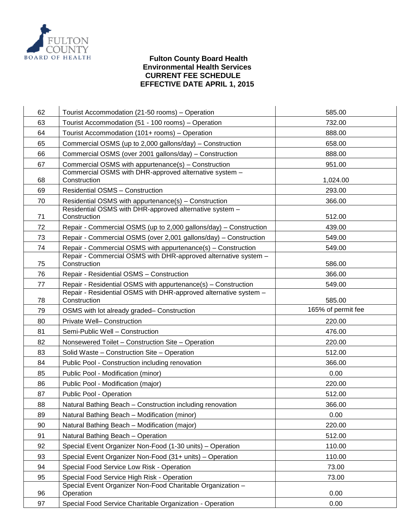

# **Fulton County Board Health Environmental Health Services CURRENT FEE SCHEDULE EFFECTIVE DATE APRIL 1, 2015**

| 62 | Tourist Accommodation (21-50 rooms) - Operation                                                                                   | 585.00             |
|----|-----------------------------------------------------------------------------------------------------------------------------------|--------------------|
| 63 | Tourist Accommodation (51 - 100 rooms) - Operation                                                                                | 732.00             |
| 64 | Tourist Accommodation (101+ rooms) - Operation                                                                                    | 888.00             |
| 65 | Commercial OSMS (up to 2,000 gallons/day) - Construction                                                                          | 658.00             |
| 66 | Commercial OSMS (over 2001 gallons/day) - Construction                                                                            | 888.00             |
| 67 | Commercial OSMS with appurtenance(s) - Construction                                                                               | 951.00             |
|    | Commercial OSMS with DHR-approved alternative system -                                                                            |                    |
| 68 | Construction                                                                                                                      | 1,024.00           |
| 69 | <b>Residential OSMS - Construction</b>                                                                                            | 293.00             |
| 70 | Residential OSMS with appurtenance(s) - Construction<br>Residential OSMS with DHR-approved alternative system -                   | 366.00             |
| 71 | Construction                                                                                                                      | 512.00             |
| 72 | Repair - Commercial OSMS (up to 2,000 gallons/day) - Construction                                                                 | 439.00             |
| 73 | Repair - Commercial OSMS (over 2,001 gallons/day) - Construction                                                                  | 549.00             |
| 74 | Repair - Commercial OSMS with appurtenance(s) - Construction                                                                      | 549.00             |
|    | Repair - Commercial OSMS with DHR-approved alternative system -                                                                   |                    |
| 75 | Construction                                                                                                                      | 586.00             |
| 76 | Repair - Residential OSMS - Construction                                                                                          | 366.00             |
| 77 | Repair - Residential OSMS with appurtenance(s) - Construction<br>Repair - Residential OSMS with DHR-approved alternative system - | 549.00             |
| 78 | Construction                                                                                                                      | 585.00             |
|    |                                                                                                                                   |                    |
| 79 | OSMS with lot already graded- Construction                                                                                        | 165% of permit fee |
| 80 | Private Well- Construction                                                                                                        | 220.00             |
| 81 | Semi-Public Well - Construction                                                                                                   | 476.00             |
| 82 | Nonsewered Toilet - Construction Site - Operation                                                                                 | 220.00             |
| 83 | Solid Waste - Construction Site - Operation                                                                                       | 512.00             |
| 84 | Public Pool - Construction including renovation                                                                                   | 366.00             |
| 85 | Public Pool - Modification (minor)                                                                                                | 0.00               |
| 86 | Public Pool - Modification (major)                                                                                                | 220.00             |
| 87 | Public Pool - Operation                                                                                                           | 512.00             |
| 88 | Natural Bathing Beach - Construction including renovation                                                                         | 366.00             |
| 89 | Natural Bathing Beach - Modification (minor)                                                                                      | 0.00               |
| 90 | Natural Bathing Beach - Modification (major)                                                                                      | 220.00             |
| 91 | Natural Bathing Beach - Operation                                                                                                 | 512.00             |
| 92 | Special Event Organizer Non-Food (1-30 units) – Operation                                                                         | 110.00             |
| 93 | Special Event Organizer Non-Food (31+ units) - Operation                                                                          | 110.00             |
| 94 | Special Food Service Low Risk - Operation                                                                                         | 73.00              |
| 95 | Special Food Service High Risk - Operation                                                                                        | 73.00              |
| 96 | Special Event Organizer Non-Food Charitable Organization -<br>Operation                                                           | 0.00               |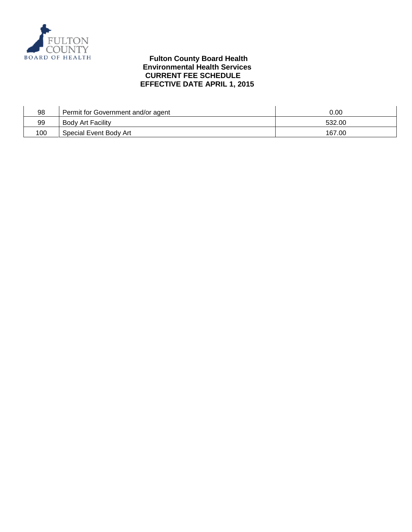

| 98  | Permit for Government and/or agent | 0.00   |
|-----|------------------------------------|--------|
| 99  | <b>Body Art Facility</b>           | 532.00 |
| 100 | Special Event Body Art             | 167.00 |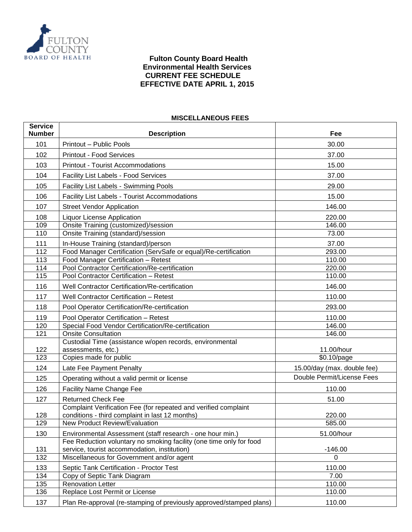

### **MISCELLANEOUS FEES**

| <b>Service</b><br><b>Number</b> | <b>Description</b>                                                                                                  | Fee                         |
|---------------------------------|---------------------------------------------------------------------------------------------------------------------|-----------------------------|
| 101                             | Printout - Public Pools                                                                                             | 30.00                       |
| 102                             | <b>Printout - Food Services</b>                                                                                     | 37.00                       |
| 103                             | <b>Printout - Tourist Accommodations</b>                                                                            | 15.00                       |
| 104                             | <b>Facility List Labels - Food Services</b>                                                                         | 37.00                       |
| 105                             | <b>Facility List Labels - Swimming Pools</b>                                                                        | 29.00                       |
| 106                             | <b>Facility List Labels - Tourist Accommodations</b>                                                                | 15.00                       |
| 107                             | <b>Street Vendor Application</b>                                                                                    | 146.00                      |
| 108                             | <b>Liquor License Application</b>                                                                                   | 220.00                      |
| 109                             | Onsite Training (customized)/session                                                                                | 146.00                      |
| 110                             | Onsite Training (standard)/session                                                                                  | 73.00                       |
| 111                             | In-House Training (standard)/person                                                                                 | 37.00                       |
| $\overline{112}$                | Food Manager Certification (ServSafe or equal)/Re-certification                                                     | 293.00                      |
| 113                             | Food Manager Certification - Retest                                                                                 | 110.00                      |
| 114                             | Pool Contractor Certification/Re-certification                                                                      | 220.00                      |
| 115                             | Pool Contractor Certification - Retest                                                                              | 110.00                      |
| 116                             | Well Contractor Certification/Re-certification                                                                      | 146.00                      |
| 117                             | <b>Well Contractor Certification - Retest</b>                                                                       | 110.00                      |
| 118                             | Pool Operator Certification/Re-certification                                                                        | 293.00                      |
| 119                             | Pool Operator Certification - Retest                                                                                | 110.00                      |
| 120                             | Special Food Vendor Certification/Re-certification                                                                  | 146.00                      |
| 121                             | <b>Onsite Consultation</b>                                                                                          | 146.00                      |
|                                 | Custodial Time (assistance w/open records, environmental                                                            |                             |
| 122                             | assessments, etc.)                                                                                                  | 11.00/hour                  |
| 123                             | Copies made for public                                                                                              | \$0.10/page                 |
| 124                             | Late Fee Payment Penalty                                                                                            | 15.00/day (max. double fee) |
| 125                             | Operating without a valid permit or license                                                                         | Double Permit/License Fees  |
| 126                             | <b>Facility Name Change Fee</b>                                                                                     | 110.00                      |
| 127                             | <b>Returned Check Fee</b>                                                                                           | 51.00                       |
|                                 | Complaint Verification Fee (for repeated and verified complaint                                                     |                             |
| 128                             | conditions - third complaint in last 12 months)                                                                     | 220.00                      |
| 129                             | New Product Review/Evaluation                                                                                       | 585.00                      |
| 130                             | Environmental Assessment (staff research - one hour min.)                                                           | 51.00/hour                  |
| 131                             | Fee Reduction voluntary no smoking facility (one time only for food<br>service, tourist accommodation, institution) | $-146.00$                   |
| 132                             | Miscellaneous for Government and/or agent                                                                           | 0                           |
| 133                             | Septic Tank Certification - Proctor Test                                                                            | 110.00                      |
| 134                             | Copy of Septic Tank Diagram                                                                                         | 7.00                        |
| 135                             | <b>Renovation Letter</b>                                                                                            | 110.00                      |
| 136                             | Replace Lost Permit or License                                                                                      | 110.00                      |
| 137                             | Plan Re-approval (re-stamping of previously approved/stamped plans)                                                 | 110.00                      |